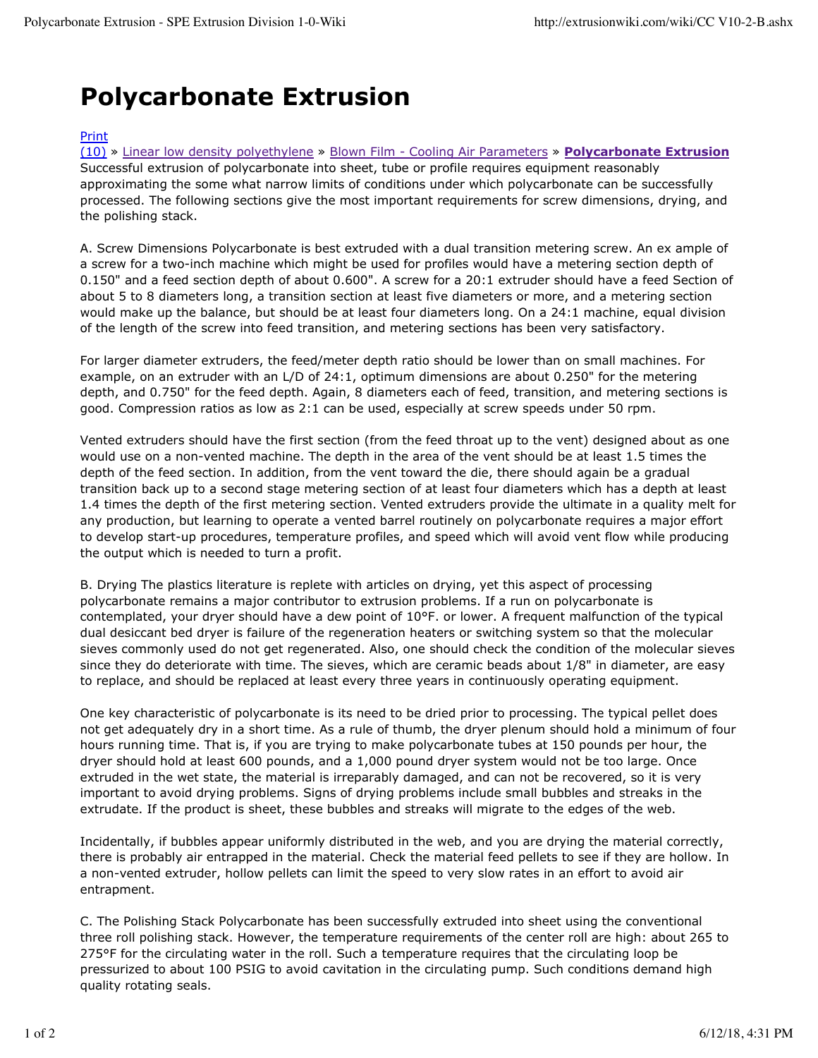## **Polycarbonate Extrusion**

## Print

(10) » Linear low density polyethylene » Blown Film - Cooling Air Parameters » **Polycarbonate Extrusion** Successful extrusion of polycarbonate into sheet, tube or profile requires equipment reasonably approximating the some what narrow limits of conditions under which polycarbonate can be successfully processed. The following sections give the most important requirements for screw dimensions, drying, and the polishing stack.

A. Screw Dimensions Polycarbonate is best extruded with a dual transition metering screw. An ex ample of a screw for a two-inch machine which might be used for profiles would have a metering section depth of 0.150" and a feed section depth of about 0.600". A screw for a 20:1 extruder should have a feed Section of about 5 to 8 diameters long, a transition section at least five diameters or more, and a metering section would make up the balance, but should be at least four diameters long. On a 24:1 machine, equal division of the length of the screw into feed transition, and metering sections has been very satisfactory.

For larger diameter extruders, the feed/meter depth ratio should be lower than on small machines. For example, on an extruder with an L/D of 24:1, optimum dimensions are about 0.250" for the metering depth, and 0.750" for the feed depth. Again, 8 diameters each of feed, transition, and metering sections is good. Compression ratios as low as 2:1 can be used, especially at screw speeds under 50 rpm.

Vented extruders should have the first section (from the feed throat up to the vent) designed about as one would use on a non-vented machine. The depth in the area of the vent should be at least 1.5 times the depth of the feed section. In addition, from the vent toward the die, there should again be a gradual transition back up to a second stage metering section of at least four diameters which has a depth at least 1.4 times the depth of the first metering section. Vented extruders provide the ultimate in a quality melt for any production, but learning to operate a vented barrel routinely on polycarbonate requires a major effort to develop start-up procedures, temperature profiles, and speed which will avoid vent flow while producing the output which is needed to turn a profit.

B. Drying The plastics literature is replete with articles on drying, yet this aspect of processing polycarbonate remains a major contributor to extrusion problems. If a run on polycarbonate is contemplated, your dryer should have a dew point of 10°F. or lower. A frequent malfunction of the typical dual desiccant bed dryer is failure of the regeneration heaters or switching system so that the molecular sieves commonly used do not get regenerated. Also, one should check the condition of the molecular sieves since they do deteriorate with time. The sieves, which are ceramic beads about 1/8" in diameter, are easy to replace, and should be replaced at least every three years in continuously operating equipment.

One key characteristic of polycarbonate is its need to be dried prior to processing. The typical pellet does not get adequately dry in a short time. As a rule of thumb, the dryer plenum should hold a minimum of four hours running time. That is, if you are trying to make polycarbonate tubes at 150 pounds per hour, the dryer should hold at least 600 pounds, and a 1,000 pound dryer system would not be too large. Once extruded in the wet state, the material is irreparably damaged, and can not be recovered, so it is very important to avoid drying problems. Signs of drying problems include small bubbles and streaks in the extrudate. If the product is sheet, these bubbles and streaks will migrate to the edges of the web.

Incidentally, if bubbles appear uniformly distributed in the web, and you are drying the material correctly, there is probably air entrapped in the material. Check the material feed pellets to see if they are hollow. In a non-vented extruder, hollow pellets can limit the speed to very slow rates in an effort to avoid air entrapment.

C. The Polishing Stack Polycarbonate has been successfully extruded into sheet using the conventional three roll polishing stack. However, the temperature requirements of the center roll are high: about 265 to 275°F for the circulating water in the roll. Such a temperature requires that the circulating loop be pressurized to about 100 PSIG to avoid cavitation in the circulating pump. Such conditions demand high quality rotating seals.